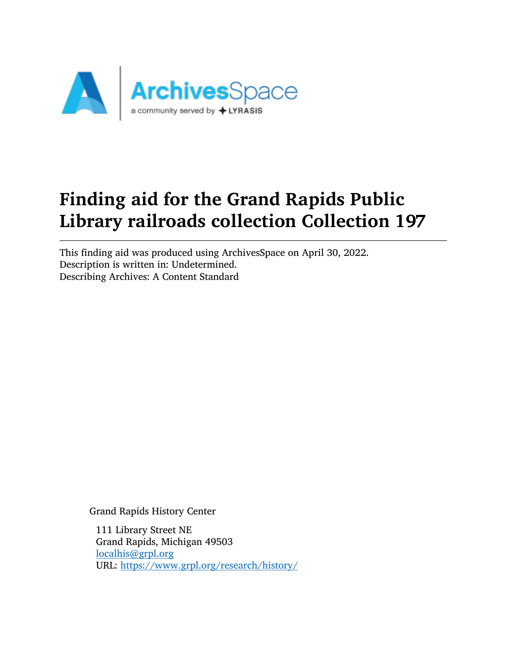

# Finding aid for the Grand Rapids Public Library railroads collection Collection 197

This finding aid was produced using ArchivesSpace on April 30, 2022. Description is written in: Undetermined. Describing Archives: A Content Standard

Grand Rapids History Center

111 Library Street NE Grand Rapids, Michigan 49503 [localhis@grpl.org](mailto:localhis@grpl.org) URL: <https://www.grpl.org/research/history/>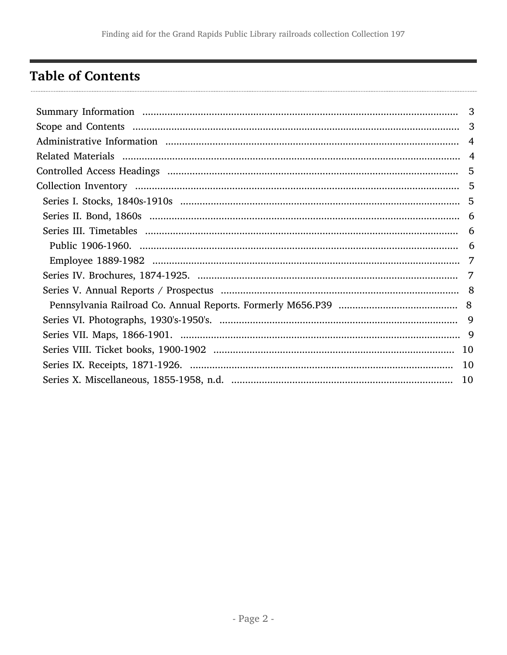# <span id="page-1-0"></span>**Table of Contents**

| 3 |
|---|
| 3 |
|   |
|   |
| 5 |
|   |
|   |
|   |
|   |
|   |
|   |
|   |
|   |
|   |
|   |
|   |
|   |
|   |
|   |
|   |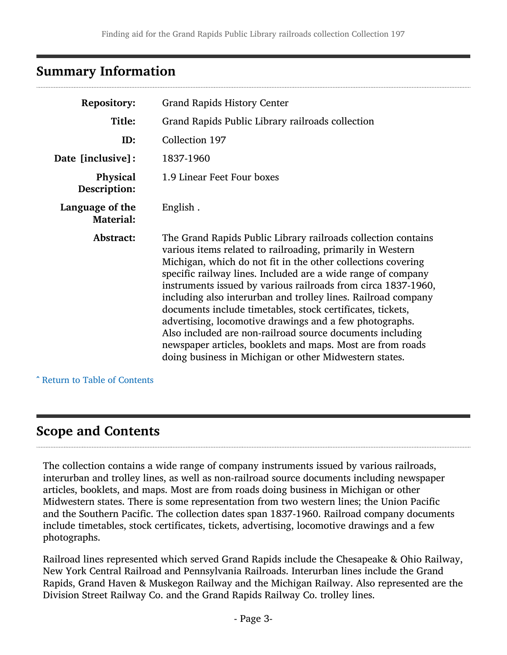# <span id="page-2-0"></span>Summary Information

| <b>Repository:</b>                  | <b>Grand Rapids History Center</b>                                                                                                                                                                                                                                                                                                                                                                                                                                                                                                                                                                                                                                                                          |  |  |
|-------------------------------------|-------------------------------------------------------------------------------------------------------------------------------------------------------------------------------------------------------------------------------------------------------------------------------------------------------------------------------------------------------------------------------------------------------------------------------------------------------------------------------------------------------------------------------------------------------------------------------------------------------------------------------------------------------------------------------------------------------------|--|--|
| Title:                              | Grand Rapids Public Library railroads collection                                                                                                                                                                                                                                                                                                                                                                                                                                                                                                                                                                                                                                                            |  |  |
| ID:                                 | Collection 197                                                                                                                                                                                                                                                                                                                                                                                                                                                                                                                                                                                                                                                                                              |  |  |
| Date [inclusive]:                   | 1837-1960                                                                                                                                                                                                                                                                                                                                                                                                                                                                                                                                                                                                                                                                                                   |  |  |
| Physical<br>Description:            | 1.9 Linear Feet Four boxes                                                                                                                                                                                                                                                                                                                                                                                                                                                                                                                                                                                                                                                                                  |  |  |
| Language of the<br><b>Material:</b> | English.                                                                                                                                                                                                                                                                                                                                                                                                                                                                                                                                                                                                                                                                                                    |  |  |
| Abstract:                           | The Grand Rapids Public Library railroads collection contains<br>various items related to railroading, primarily in Western<br>Michigan, which do not fit in the other collections covering<br>specific railway lines. Included are a wide range of company<br>instruments issued by various railroads from circa 1837-1960,<br>including also interurban and trolley lines. Railroad company<br>documents include timetables, stock certificates, tickets,<br>advertising, locomotive drawings and a few photographs.<br>Also included are non-railroad source documents including<br>newspaper articles, booklets and maps. Most are from roads<br>doing business in Michigan or other Midwestern states. |  |  |

^ [Return to Table of Contents](#page-1-0)

### <span id="page-2-1"></span>Scope and Contents

The collection contains a wide range of company instruments issued by various railroads, interurban and trolley lines, as well as non-railroad source documents including newspaper articles, booklets, and maps. Most are from roads doing business in Michigan or other Midwestern states. There is some representation from two western lines; the Union Pacific and the Southern Pacific. The collection dates span 1837-1960. Railroad company documents include timetables, stock certificates, tickets, advertising, locomotive drawings and a few photographs.

Railroad lines represented which served Grand Rapids include the Chesapeake & Ohio Railway, New York Central Railroad and Pennsylvania Railroads. Interurban lines include the Grand Rapids, Grand Haven & Muskegon Railway and the Michigan Railway. Also represented are the Division Street Railway Co. and the Grand Rapids Railway Co. trolley lines.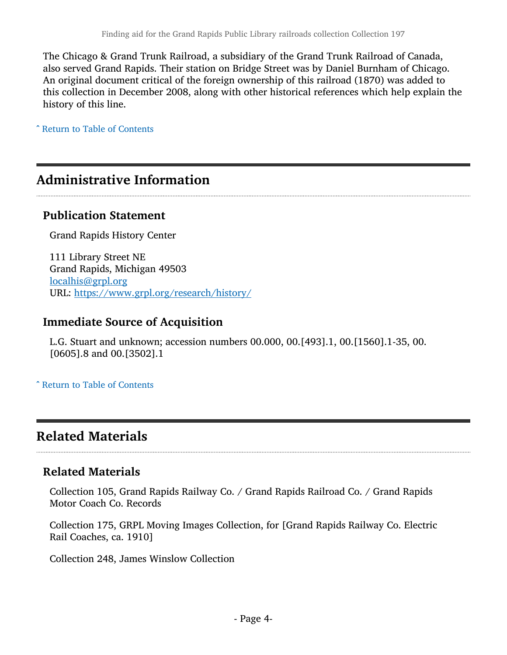The Chicago & Grand Trunk Railroad, a subsidiary of the Grand Trunk Railroad of Canada, also served Grand Rapids. Their station on Bridge Street was by Daniel Burnham of Chicago. An original document critical of the foreign ownership of this railroad (1870) was added to this collection in December 2008, along with other historical references which help explain the history of this line.

^ [Return to Table of Contents](#page-1-0)

# <span id="page-3-0"></span>Administrative Information

### Publication Statement

Grand Rapids History Center

111 Library Street NE Grand Rapids, Michigan 49503 [localhis@grpl.org](mailto:localhis@grpl.org) URL: <https://www.grpl.org/research/history/>

### Immediate Source of Acquisition

L.G. Stuart and unknown; accession numbers 00.000, 00.[493].1, 00.[1560].1-35, 00. [0605].8 and 00.[3502].1

^ [Return to Table of Contents](#page-1-0)

# <span id="page-3-1"></span>Related Materials

### Related Materials

Collection 105, Grand Rapids Railway Co. / Grand Rapids Railroad Co. / Grand Rapids Motor Coach Co. Records

Collection 175, GRPL Moving Images Collection, for [Grand Rapids Railway Co. Electric Rail Coaches, ca. 1910]

Collection 248, James Winslow Collection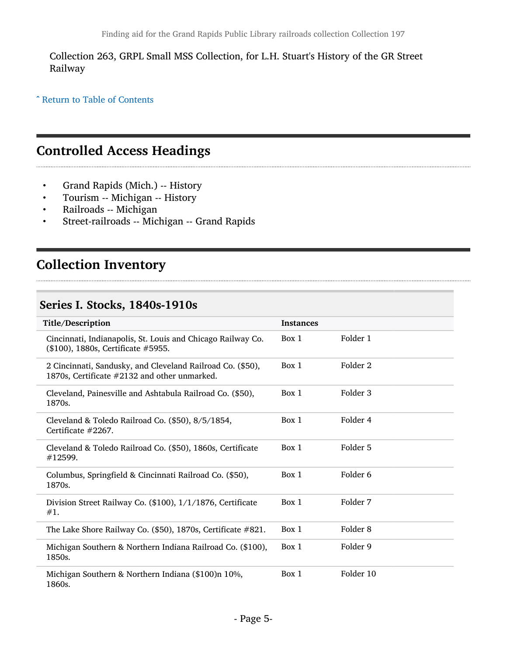Collection 263, GRPL Small MSS Collection, for L.H. Stuart's History of the GR Street Railway

^ [Return to Table of Contents](#page-1-0)

# <span id="page-4-0"></span>Controlled Access Headings

- Grand Rapids (Mich.) -- History
- Tourism -- Michigan -- History
- Railroads -- Michigan
- Street-railroads -- Michigan -- Grand Rapids

# <span id="page-4-1"></span>Collection Inventory

#### <span id="page-4-2"></span>Series I. Stocks, 1840s-1910s

| Title/Description                                                                                          | <b>Instances</b> |           |
|------------------------------------------------------------------------------------------------------------|------------------|-----------|
| Cincinnati, Indianapolis, St. Louis and Chicago Railway Co.<br>(\$100), 1880s, Certificate #5955.          | Box 1            | Folder 1  |
| 2 Cincinnati, Sandusky, and Cleveland Railroad Co. (\$50),<br>1870s, Certificate #2132 and other unmarked. | Box 1            | Folder 2  |
| Cleveland, Painesville and Ashtabula Railroad Co. (\$50),<br>1870s.                                        | Box 1            | Folder 3  |
| Cleveland & Toledo Railroad Co. (\$50), 8/5/1854,<br>Certificate $#2267$ .                                 | Box 1            | Folder 4  |
| Cleveland & Toledo Railroad Co. (\$50), 1860s, Certificate<br>#12599.                                      | Box 1            | Folder 5  |
| Columbus, Springfield & Cincinnati Railroad Co. (\$50),<br>1870s.                                          | Box 1            | Folder 6  |
| Division Street Railway Co. (\$100), 1/1/1876, Certificate<br>#1.                                          | Box 1            | Folder 7  |
| The Lake Shore Railway Co. $(\$50)$ , 1870s, Certificate $#821$ .                                          | Box 1            | Folder 8  |
| Michigan Southern & Northern Indiana Railroad Co. (\$100),<br>1850s.                                       | Box 1            | Folder 9  |
| Michigan Southern & Northern Indiana (\$100)n 10%,<br>1860s.                                               | Box 1            | Folder 10 |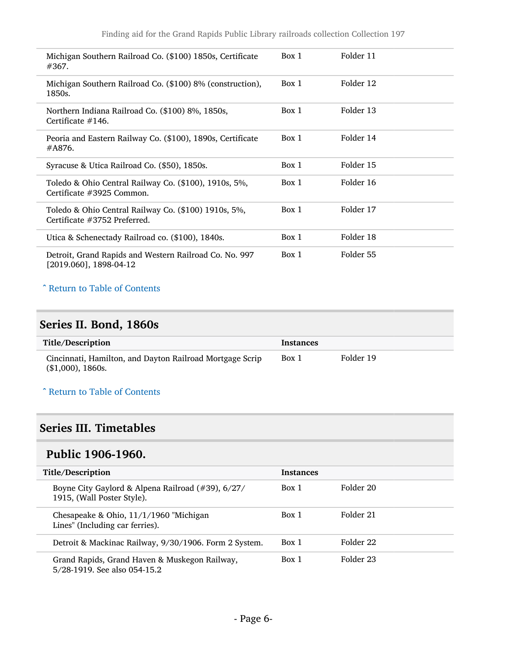| Michigan Southern Railroad Co. (\$100) 1850s, Certificate<br>#367.                   | Box 1 | Folder 11 |
|--------------------------------------------------------------------------------------|-------|-----------|
| Michigan Southern Railroad Co. (\$100) 8% (construction),<br>1850s.                  | Box 1 | Folder 12 |
| Northern Indiana Railroad Co. (\$100) 8%, 1850s,<br>Certificate $#146$ .             | Box 1 | Folder 13 |
| Peoria and Eastern Railway Co. (\$100), 1890s, Certificate<br>#A876.                 | Box 1 | Folder 14 |
| Syracuse & Utica Railroad Co. (\$50), 1850s.                                         | Box 1 | Folder 15 |
| Toledo & Ohio Central Railway Co. (\$100), 1910s, 5%,<br>Certificate #3925 Common.   | Box 1 | Folder 16 |
| Toledo & Ohio Central Railway Co. (\$100) 1910s, 5%,<br>Certificate #3752 Preferred. | Box 1 | Folder 17 |
| Utica & Schenectady Railroad co. (\$100), 1840s.                                     | Box 1 | Folder 18 |
| Detroit, Grand Rapids and Western Railroad Co. No. 997<br>[2019.060], 1898-04-12     | Box 1 | Folder 55 |

### <span id="page-5-0"></span>Series II. Bond, 1860s

| Title/Description                                                               | <b>Instances</b> |           |
|---------------------------------------------------------------------------------|------------------|-----------|
| Cincinnati, Hamilton, and Dayton Railroad Mortgage Scrip<br>$($1,000)$ , 1860s. | Box 1            | Folder 19 |

#### ^ [Return to Table of Contents](#page-1-0)

### <span id="page-5-1"></span>Series III. Timetables

### <span id="page-5-2"></span>Public 1906-1960.

| Title/Description                                                               | <b>Instances</b> |           |
|---------------------------------------------------------------------------------|------------------|-----------|
| Boyne City Gaylord & Alpena Railroad (#39), 6/27/<br>1915, (Wall Poster Style). | Box 1            | Folder 20 |
| Chesapeake & Ohio, 11/1/1960 "Michigan"<br>Lines" (Including car ferries).      | Box 1            | Folder 21 |
| Detroit & Mackinac Railway, 9/30/1906. Form 2 System.                           | Box 1            | Folder 22 |
| Grand Rapids, Grand Haven & Muskegon Railway,<br>5/28-1919. See also 054-15.2   | Box 1            | Folder 23 |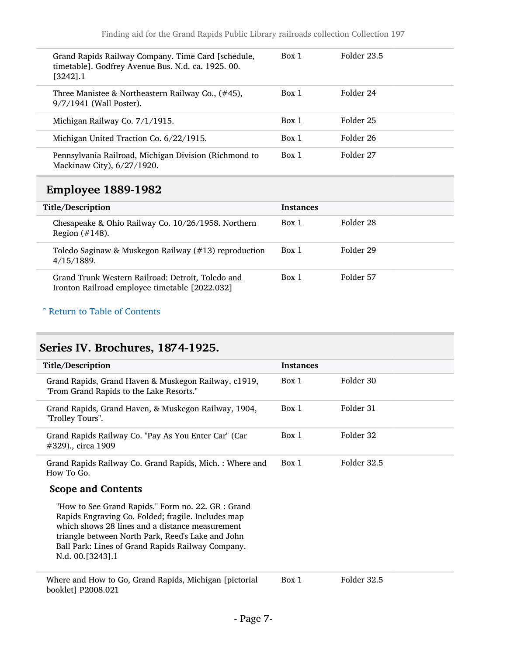| Grand Rapids Railway Company. Time Card [schedule,<br>timetable]. Godfrey Avenue Bus. N.d. ca. 1925. 00.<br>$[3242]$ .1 | Box 1 | Folder 23.5 |
|-------------------------------------------------------------------------------------------------------------------------|-------|-------------|
| Three Manistee & Northeastern Railway Co., (#45),<br>9/7/1941 (Wall Poster).                                            | Box 1 | Folder 24   |
| Michigan Railway Co. 7/1/1915.                                                                                          | Box 1 | Folder 25   |
| Michigan United Traction Co. 6/22/1915.                                                                                 | Box 1 | Folder 26   |
| Pennsylvania Railroad, Michigan Division (Richmond to<br>Mackinaw City), 6/27/1920.                                     | Box 1 | Folder 27   |
|                                                                                                                         |       |             |

# <span id="page-6-0"></span>Employee 1889-1982

| Title/Description                                                                                   | <b>Instances</b> |           |
|-----------------------------------------------------------------------------------------------------|------------------|-----------|
| Chesapeake & Ohio Railway Co. 10/26/1958. Northern<br>Region $(\#148)$ .                            | Box 1            | Folder 28 |
| Toledo Saginaw & Muskegon Railway (#13) reproduction<br>4/15/1889.                                  | Box 1            | Folder 29 |
| Grand Trunk Western Railroad: Detroit, Toledo and<br>Ironton Railroad employee timetable [2022.032] | Box 1            | Folder 57 |

#### ^ [Return to Table of Contents](#page-1-0)

# <span id="page-6-1"></span>Series IV. Brochures, 1874-1925.

| Title/Description                                                                                                                                                             | <b>Instances</b> |             |
|-------------------------------------------------------------------------------------------------------------------------------------------------------------------------------|------------------|-------------|
| Grand Rapids, Grand Haven & Muskegon Railway, c1919,<br>"From Grand Rapids to the Lake Resorts."                                                                              | Box 1            | Folder 30   |
| Grand Rapids, Grand Haven, & Muskegon Railway, 1904,<br>"Trolley Tours".                                                                                                      | Box 1            | Folder 31   |
| Grand Rapids Railway Co. "Pay As You Enter Car" (Car<br>#329)., circa 1909                                                                                                    | Box 1            | Folder 32   |
| Grand Rapids Railway Co. Grand Rapids, Mich.: Where and<br>How To Go.                                                                                                         | Box 1            | Folder 32.5 |
| <b>Scope and Contents</b><br>"How to See Grand Rapids." Form no. 22. GR : Grand<br>Rapids Engraving Co. Folded; fragile. Includes map                                         |                  |             |
| which shows 28 lines and a distance measurement<br>triangle between North Park, Reed's Lake and John<br>Ball Park: Lines of Grand Rapids Railway Company.<br>N.d. 00.[3243].1 |                  |             |
|                                                                                                                                                                               |                  |             |

Where and How to Go, Grand Rapids, Michigan [pictorial booklet] P2008.021

Box 1 Folder 32.5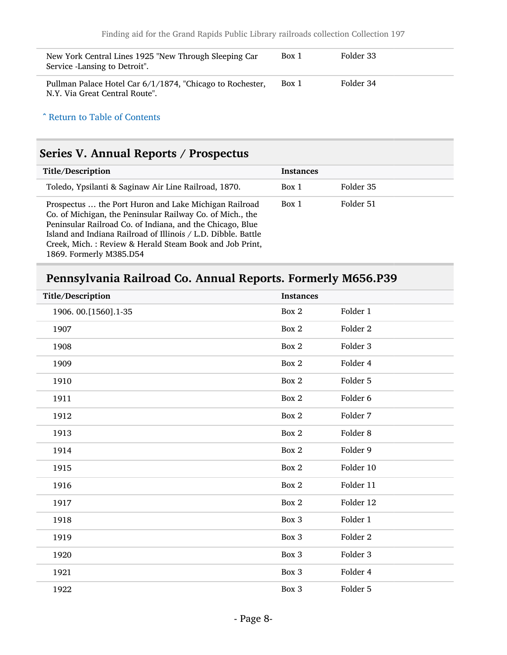| New York Central Lines 1925 "New Through Sleeping Car<br>Service -Lansing to Detroit".      | Box 1 | Folder 33 |
|---------------------------------------------------------------------------------------------|-------|-----------|
| Pullman Palace Hotel Car 6/1/1874, "Chicago to Rochester,<br>N.Y. Via Great Central Route". | Box 1 | Folder 34 |

# <span id="page-7-0"></span>Series V. Annual Reports / Prospectus

| Title/Description                                                                                                                                                                                                                                                                                                                      | <b>Instances</b> |           |
|----------------------------------------------------------------------------------------------------------------------------------------------------------------------------------------------------------------------------------------------------------------------------------------------------------------------------------------|------------------|-----------|
| Toledo, Ypsilanti & Saginaw Air Line Railroad, 1870.                                                                                                                                                                                                                                                                                   | Box 1            | Folder 35 |
| Prospectus  the Port Huron and Lake Michigan Railroad<br>Co. of Michigan, the Peninsular Railway Co. of Mich., the<br>Peninsular Railroad Co. of Indiana, and the Chicago, Blue<br>Island and Indiana Railroad of Illinois / L.D. Dibble. Battle<br>Creek, Mich.: Review & Herald Steam Book and Job Print,<br>1869. Formerly M385.D54 | Box 1            | Folder 51 |

# <span id="page-7-1"></span>Pennsylvania Railroad Co. Annual Reports. Formerly M656.P39

| Title/Description      | <b>Instances</b> |           |
|------------------------|------------------|-----------|
| 1906. 00. [1560]. 1-35 | Box 2            | Folder 1  |
| 1907                   | Box 2            | Folder 2  |
| 1908                   | Box 2            | Folder 3  |
| 1909                   | Box 2            | Folder 4  |
| 1910                   | Box 2            | Folder 5  |
| 1911                   | Box 2            | Folder 6  |
| 1912                   | Box 2            | Folder 7  |
| 1913                   | Box 2            | Folder 8  |
| 1914                   | Box 2            | Folder 9  |
| 1915                   | Box 2            | Folder 10 |
| 1916                   | Box 2            | Folder 11 |
| 1917                   | Box 2            | Folder 12 |
| 1918                   | Box 3            | Folder 1  |
| 1919                   | Box 3            | Folder 2  |
| 1920                   | Box 3            | Folder 3  |
| 1921                   | Box 3            | Folder 4  |
| 1922                   | Box 3            | Folder 5  |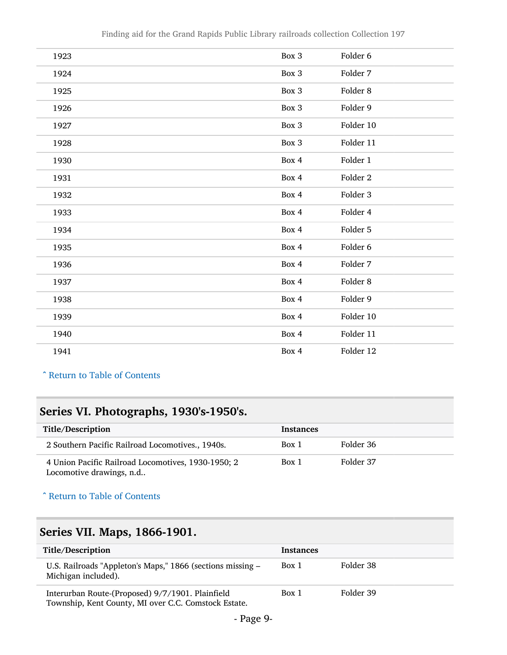| 1923 | Box 3 | Folder 6            |
|------|-------|---------------------|
| 1924 | Box 3 | Folder 7            |
| 1925 | Box 3 | Folder 8            |
| 1926 | Box 3 | Folder 9            |
| 1927 | Box 3 | Folder 10           |
| 1928 | Box 3 | Folder 11           |
| 1930 | Box 4 | Folder 1            |
| 1931 | Box 4 | Folder <sub>2</sub> |
| 1932 | Box 4 | Folder 3            |
| 1933 | Box 4 | Folder 4            |
| 1934 | Box 4 | Folder 5            |
| 1935 | Box 4 | Folder 6            |
| 1936 | Box 4 | Folder 7            |
| 1937 | Box 4 | Folder 8            |
| 1938 | Box 4 | Folder 9            |
| 1939 | Box 4 | Folder 10           |
| 1940 | Box 4 | Folder 11           |
| 1941 | Box 4 | Folder 12           |

# <span id="page-8-0"></span>Series VI. Photographs, 1930's-1950's.

| Title/Description                                                              | <b>Instances</b> |           |
|--------------------------------------------------------------------------------|------------------|-----------|
| 2 Southern Pacific Railroad Locomotives., 1940s.                               | Box 1            | Folder 36 |
| 4 Union Pacific Railroad Locomotives, 1930-1950; 2<br>Locomotive drawings, n.d | Box 1            | Folder 37 |

#### ^ [Return to Table of Contents](#page-1-0)

### <span id="page-8-1"></span>Series VII. Maps, 1866-1901.

| Title/Description                                                                                        | <b>Instances</b> |           |
|----------------------------------------------------------------------------------------------------------|------------------|-----------|
| U.S. Railroads "Appleton's Maps," 1866 (sections missing –<br>Michigan included).                        | Box 1            | Folder 38 |
| Interurban Route-(Proposed) 9/7/1901. Plainfield<br>Township, Kent County, MI over C.C. Comstock Estate. | Box 1            | Folder 39 |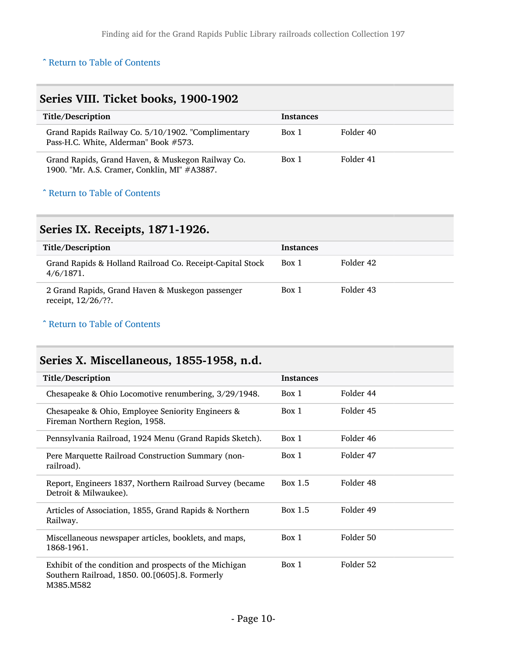#### <span id="page-9-0"></span>Series VIII. Ticket books, 1900-1902 Title/Description and the set of the Instances Grand Rapids Railway Co. 5/10/1902. "Complimentary Pass-H.C. White, Alderman" Book #573. Box 1 Folder 40 Grand Rapids, Grand Haven, & Muskegon Railway Co. 1900. "Mr. A.S. Cramer, Conklin, MI" #A3887. Box 1 Folder 41

#### ^ [Return to Table of Contents](#page-1-0)

#### <span id="page-9-1"></span>Series IX. Receipts, 1871-1926.

| Title/Description                                                         | <b>Instances</b> |           |
|---------------------------------------------------------------------------|------------------|-----------|
| Grand Rapids & Holland Railroad Co. Receipt-Capital Stock<br>4/6/1871.    | Box 1            | Folder 42 |
| 2 Grand Rapids, Grand Haven & Muskegon passenger<br>receipt, $12/26$ /??. | Box 1            | Folder 43 |

#### ^ [Return to Table of Contents](#page-1-0)

### <span id="page-9-2"></span>Series X. Miscellaneous, 1855-1958, n.d.

| Title/Description                                                                                                     | <b>Instances</b> |           |
|-----------------------------------------------------------------------------------------------------------------------|------------------|-----------|
| Chesapeake & Ohio Locomotive renumbering, 3/29/1948.                                                                  | Box 1            | Folder 44 |
| Chesapeake & Ohio, Employee Seniority Engineers &<br>Fireman Northern Region, 1958.                                   | Box 1            | Folder 45 |
| Pennsylvania Railroad, 1924 Menu (Grand Rapids Sketch).                                                               | Box 1            | Folder 46 |
| Pere Marquette Railroad Construction Summary (non-<br>railroad).                                                      | Box 1            | Folder 47 |
| Report, Engineers 1837, Northern Railroad Survey (became<br>Detroit & Milwaukee).                                     | Box 1.5          | Folder 48 |
| Articles of Association, 1855, Grand Rapids & Northern<br>Railway.                                                    | Box 1.5          | Folder 49 |
| Miscellaneous newspaper articles, booklets, and maps,<br>1868-1961.                                                   | Box 1            | Folder 50 |
| Exhibit of the condition and prospects of the Michigan<br>Southern Railroad, 1850. 00.[0605].8. Formerly<br>M385.M582 | Box 1            | Folder 52 |